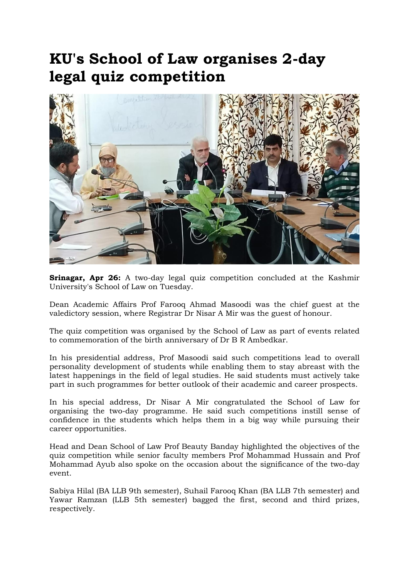## KU's School of Law organises 2-day legal quiz competition



Srinagar, Apr 26: A two-day legal quiz competition concluded at the Kashmir University's School of Law on Tuesday.

Dean Academic Affairs Prof Farooq Ahmad Masoodi was the chief guest at the valedictory session, where Registrar Dr Nisar A Mir was the guest of honour.

The quiz competition was organised by the School of Law as part of events related to commemoration of the birth anniversary of Dr B R Ambedkar.

In his presidential address, Prof Masoodi said such competitions lead to overall personality development of students while enabling them to stay abreast with the latest happenings in the field of legal studies. He said students must actively take part in such programmes for better outlook of their academic and career prospects.

In his special address, Dr Nisar A Mir congratulated the School of Law for organising the two-day programme. He said such competitions instill sense of confidence in the students which helps them in a big way while pursuing their career opportunities.

Head and Dean School of Law Prof Beauty Banday highlighted the objectives of the quiz competition while senior faculty members Prof Mohammad Hussain and Prof Mohammad Ayub also spoke on the occasion about the significance of the two-day event.

Sabiya Hilal (BA LLB 9th semester), Suhail Farooq Khan (BA LLB 7th semester) and Yawar Ramzan (LLB 5th semester) bagged the first, second and third prizes, respectively.